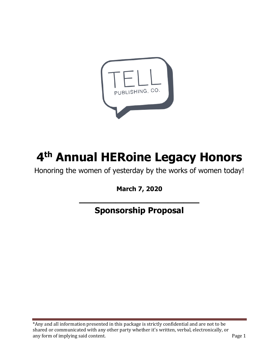

# **4 th Annual HERoine Legacy Honors**

Honoring the women of yesterday by the works of women today!

**March 7, 2020**

**\_\_\_\_\_\_\_\_\_\_\_\_\_\_\_\_\_\_\_\_\_\_\_**

**Sponsorship Proposal**

\*Any and all information presented in this package is strictly confidential and are not to be shared or communicated with any other party whether it's written, verbal, electronically, or any form of implying said content. The same state of the same state of the Page 1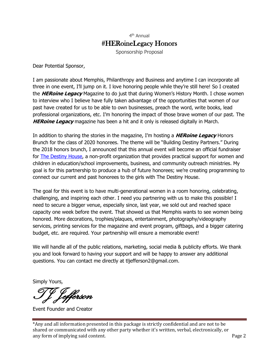Sponsorship Proposal

Dear Potential Sponsor,

I am passionate about Memphis, Philanthropy and Business and anytime I can incorporate all three in one event, I'll jump on it. I love honoring people while they're still here! So I created the **HERoine Legacy** Magazine to do just that during Women's History Month. I chose women to interview who I believe have fully taken advantage of the opportunities that women of our past have created for us to be able to own businesses, preach the word, write books, lead professional organizations, etc. I'm honoring the impact of those brave women of our past. The **HERoine Legacy** magazine has been a hit and it only is released digitally in March.

In addition to sharing the stories in the magazine, I'm hosting a **HERoine Legacy** Honors Brunch for the class of 2020 honorees. The theme will be "Building Destiny Partners." During the 2018 honors brunch, I announced that this annual event will become an official fundraiser for [The Destiny House,](http://lashundrarichmond.com/the-destiny-house.html) a non-profit organization that provides practical support for women and children in education/school improvements, business, and community outreach ministries. My goal is for this partnership to produce a hub of future honorees; we're creating programming to connect our current and past honorees to the girls with The Destiny House.

The goal for this event is to have multi-generational women in a room honoring, celebrating, challenging, and inspiring each other. I need you partnering with us to make this possible! I need to secure a bigger venue, especially since, last year, we sold out and reached space capacity one week before the event. That showed us that Memphis wants to see women being honored. More decorations, trophies/plaques, entertainment, photography/videography services, printing services for the magazine and event program, giftbags, and a bigger catering budget, etc. are required. Your partnership will ensure a memorable event!

We will handle all of the public relations, marketing, social media & publicity efforts. We thank you and look forward to having your support and will be happy to answer any additional questions. You can contact me directly at tljefferson2@gmail.com.

Simply Yours,

TJ Jefferson

Event Founder and Creator

\*Any and all information presented in this package is strictly confidential and are not to be shared or communicated with any other party whether it's written, verbal, electronically, or any form of implying said content. The same state of the same state of the Page 2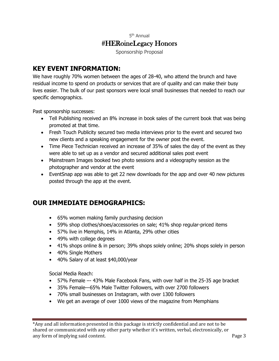Sponsorship Proposal

## **KEY EVENT INFORMATION:**

We have roughly 70% women between the ages of 28-40, who attend the brunch and have residual income to spend on products or services that are of quality and can make their busy lives easier. The bulk of our past sponsors were local small businesses that needed to reach our specific demographics.

Past sponsorship successes:

- Tell Publishing received an 8% increase in book sales of the current book that was being promoted at that time.
- Fresh Touch Publicity secured two media interviews prior to the event and secured two new clients and a speaking engagement for the owner post the event.
- Time Piece Technician received an increase of 35% of sales the day of the event as they were able to set up as a vendor and secured additional sales post event
- Mainstream Images booked two photo sessions and a videography session as the photographer and vendor at the event
- EventSnap app was able to get 22 new downloads for the app and over 40 new pictures posted through the app at the event.

# **OUR IMMEDIATE DEMOGRAPHICS:**

- 65% women making family purchasing decision
- 59% shop clothes/shoes/accessories on sale; 41% shop regular-priced items
- 57% live in Memphis, 14% in Atlanta, 29% other cities
- 49% with college degrees
- 41% shops online & in person; 39% shops solely online; 20% shops solely in person
- 40% Single Mothers
- 40% Salary of at least \$40,000/year

Social Media Reach:

- 57% Female –- 43% Male Facebook Fans, with over half in the 25-35 age bracket
- 35% Female—65% Male Twitter Followers, with over 2700 followers
- 70% small businesses on Instagram, with over 1300 followers
- We get an average of over 1000 views of the magazine from Memphians

<sup>\*</sup>Any and all information presented in this package is strictly confidential and are not to be shared or communicated with any other party whether it's written, verbal, electronically, or any form of implying said content. The same state of the same state of the Page 3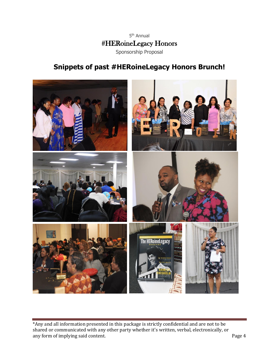

# **Snippets of past #HERoineLegacy Honors Brunch!**



\*Any and all information presented in this package is strictly confidential and are not to be shared or communicated with any other party whether it's written, verbal, electronically, or any form of implying said content. Page 4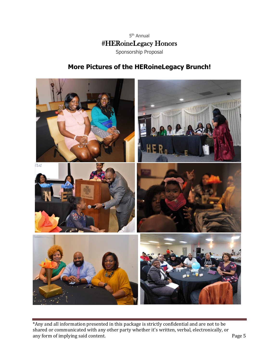

# **More Pictures of the HERoineLegacy Brunch!**



\*Any and all information presented in this package is strictly confidential and are not to be shared or communicated with any other party whether it's written, verbal, electronically, or any form of implying said content. Page 5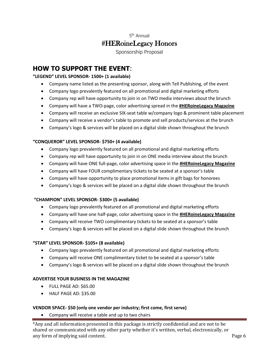Sponsorship Proposal

# **HOW TO SUPPORT THE EVENT**:

## **"LEGEND" LEVEL SPONSOR- 1500+ (1 available)**

- Company name listed as the presenting sponsor, along with Tell Publishing, of the event
- Company logo prevalently featured on all promotional and digital marketing efforts
- Company rep will have opportunity to join in on TWO media interviews about the brunch
- Company will have a TWO-page, color advertising spread in the **#HERoineLegacy Magazine**
- Company will receive an exclusive SIX-seat table w/company logo & prominent table placement
- Company will receive a vendor's table to promote and sell products/services at the brunch
- Company's logo & services will be placed on a digital slide shown throughout the brunch

## **"CONQUEROR" LEVEL SPONSOR- \$750+ (4 available)**

- Company logo prevalently featured on all promotional and digital marketing efforts
- Company rep will have opportunity to join in on ONE media interview about the brunch
- Company will have ONE full-page, color advertising space in the **#HERoineLegacy Magazine**
- Company will have FOUR complimentary tickets to be seated at a sponsor's table
- Company will have opportunity to place promotional items in gift bags for honorees
- Company's logo & services will be placed on a digital slide shown throughout the brunch

## **"CHAMPION" LEVEL SPONSOR- \$300+ (5 available)**

- Company logo prevalently featured on all promotional and digital marketing efforts
- Company will have one half-page, color advertising space in the **#HERoineLegacy Magazine**
- Company will receive TWO complimentary tickets to be seated at a sponsor's table
- Company's logo & services will be placed on a digital slide shown throughout the brunch

## **"STAR" LEVEL SPONSOR- \$105+ (8 available)**

- Company logo prevalently featured on all promotional and digital marketing efforts
- Company will receive ONE complimentary ticket to be seated at a sponsor's table
- Company's logo & services will be placed on a digital slide shown throughout the brunch

## **ADVERTISE YOUR BUSINESS IN THE MAGAZINE**

- FULL PAGE AD: \$65.00
- HALF PAGE AD: \$35.00

## **VENDOR SPACE- \$50 (only one vendor per industry; first come, first serve)**

• Company will receive a table and up to two chairs

\*Any and all information presented in this package is strictly confidential and are not to be shared or communicated with any other party whether it's written, verbal, electronically, or any form of implying said content. The same state of the same state of the Page 6